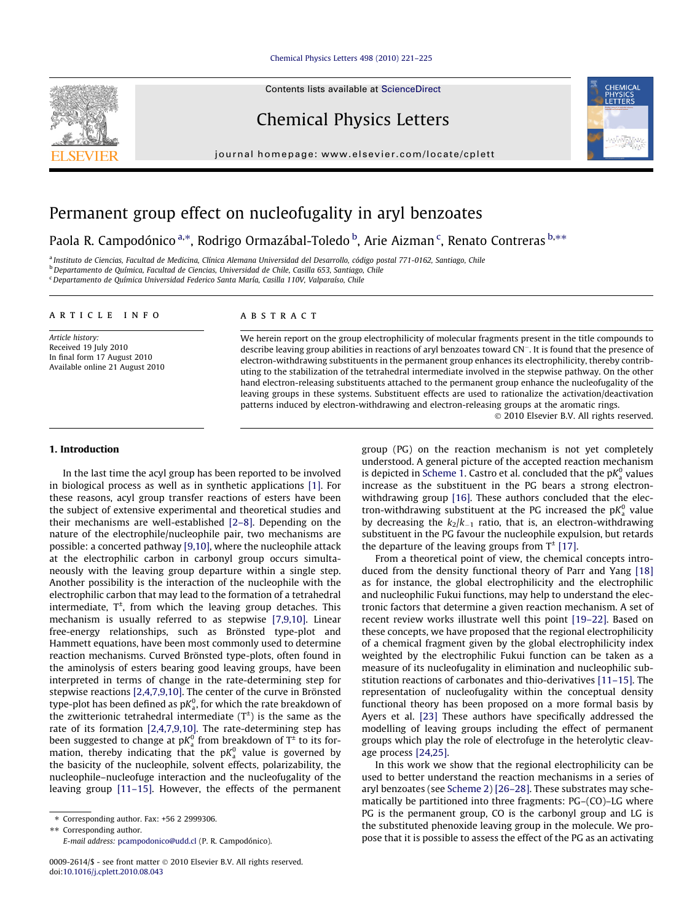### [Chemical Physics Letters 498 \(2010\) 221–225](http://dx.doi.org/10.1016/j.cplett.2010.08.043)

Contents lists available at [ScienceDirect](http://www.sciencedirect.com/science/journal/00092614)

# Chemical Physics Letters

journal homepage: [www.elsevier.com/locate/cplett](http://www.elsevier.com/locate/cplett)



# Permanent group effect on nucleofugality in aryl benzoates

# Paola R. Campodónico <sup>a,</sup>\*, Rodrigo Ormazábal-Toledo <sup>b</sup>, Arie Aizman <sup>c</sup>, Renato Contreras <sup>b,</sup>\*\*

a Instituto de Ciencias, Facultad de Medicina, Clínica Alemana Universidad del Desarrollo, código postal 771-0162, Santiago, Chile <sup>b</sup> Departamento de Química, Facultad de Ciencias, Universidad de Chile, Casilla 653, Santiago, Chile  $\epsilon$ Departamento de Química Universidad Federico Santa María, Casilla 110V, Valparaíso, Chile

#### article info

Article history: Received 19 July 2010 In final form 17 August 2010 Available online 21 August 2010

#### ABSTRACT

We herein report on the group electrophilicity of molecular fragments present in the title compounds to describe leaving group abilities in reactions of aryl benzoates toward CN<sup>-</sup>. It is found that the presence of electron-withdrawing substituents in the permanent group enhances its electrophilicity, thereby contributing to the stabilization of the tetrahedral intermediate involved in the stepwise pathway. On the other hand electron-releasing substituents attached to the permanent group enhance the nucleofugality of the leaving groups in these systems. Substituent effects are used to rationalize the activation/deactivation patterns induced by electron-withdrawing and electron-releasing groups at the aromatic rings.

- 2010 Elsevier B.V. All rights reserved.

## 1. Introduction

In the last time the acyl group has been reported to be involved in biological process as well as in synthetic applications [\[1\]](#page-4-0). For these reasons, acyl group transfer reactions of esters have been the subject of extensive experimental and theoretical studies and their mechanisms are well-established [\[2–8\]](#page-4-0). Depending on the nature of the electrophile/nucleophile pair, two mechanisms are possible: a concerted pathway [\[9,10\]](#page-4-0), where the nucleophile attack at the electrophilic carbon in carbonyl group occurs simultaneously with the leaving group departure within a single step. Another possibility is the interaction of the nucleophile with the electrophilic carbon that may lead to the formation of a tetrahedral intermediate,  $T^{\pm}$ , from which the leaving group detaches. This mechanism is usually referred to as stepwise [\[7,9,10\]](#page-4-0). Linear free-energy relationships, such as Brönsted type-plot and Hammett equations, have been most commonly used to determine reaction mechanisms. Curved Brönsted type-plots, often found in the aminolysis of esters bearing good leaving groups, have been interpreted in terms of change in the rate-determining step for stepwise reactions [\[2,4,7,9,10\].](#page-4-0) The center of the curve in Brönsted type-plot has been defined as p $\mathit{K}^{0}_{\mathrm{a}}$ , for which the rate breakdown of the zwitterionic tetrahedral intermediate  $(T^{\pm})$  is the same as the rate of its formation [\[2,4,7,9,10\].](#page-4-0) The rate-determining step has been suggested to change at p $\mathcal{K}_{\mathsf{a}}^0$  from breakdown of T $^{\texttt{t}}$  to its formation, thereby indicating that the p $K_{\mathrm{a}}^0$  value is governed by the basicity of the nucleophile, solvent effects, polarizability, the nucleophile–nucleofuge interaction and the nucleofugality of the leaving group [\[11–15\].](#page-4-0) However, the effects of the permanent

group (PG) on the reaction mechanism is not yet completely understood. A general picture of the accepted reaction mechanism is depicted in [Scheme 1.](#page-1-0) Castro et al. concluded that the p $K_{\mathrm{a}}^{0}$  values increase as the substituent in the PG bears a strong electron-withdrawing group [\[16\].](#page-4-0) These authors concluded that the electron-withdrawing substituent at the PG increased the  $pK_a^0$  value by decreasing the  $k_2/k_{-1}$  ratio, that is, an electron-withdrawing substituent in the PG favour the nucleophile expulsion, but retards the departure of the leaving groups from  $T^{\pm}$  [\[17\]](#page-4-0).

From a theoretical point of view, the chemical concepts introduced from the density functional theory of Parr and Yang [\[18\]](#page-4-0) as for instance, the global electrophilicity and the electrophilic and nucleophilic Fukui functions, may help to understand the electronic factors that determine a given reaction mechanism. A set of recent review works illustrate well this point [\[19–22\]](#page-4-0). Based on these concepts, we have proposed that the regional electrophilicity of a chemical fragment given by the global electrophilicity index weighted by the electrophilic Fukui function can be taken as a measure of its nucleofugality in elimination and nucleophilic substitution reactions of carbonates and thio-derivatives [\[11–15\]](#page-4-0). The representation of nucleofugality within the conceptual density functional theory has been proposed on a more formal basis by Ayers et al. [\[23\]](#page-4-0) These authors have specifically addressed the modelling of leaving groups including the effect of permanent groups which play the role of electrofuge in the heterolytic cleavage process [\[24,25\].](#page-4-0)

In this work we show that the regional electrophilicity can be used to better understand the reaction mechanisms in a series of aryl benzoates (see [Scheme 2](#page-1-0)) [\[26–28\].](#page-4-0) These substrates may schematically be partitioned into three fragments: PG–(CO)–LG where PG is the permanent group, CO is the carbonyl group and LG is the substituted phenoxide leaving group in the molecule. We propose that it is possible to assess the effect of the PG as an activating

<sup>⇑</sup> Corresponding author. Fax: +56 2 2999306.

<sup>\*\*</sup> Corresponding author.

E-mail address: [pcampodonico@udd.cl](mailto:pcampodonico@udd.cl) (P. R. Campodónico).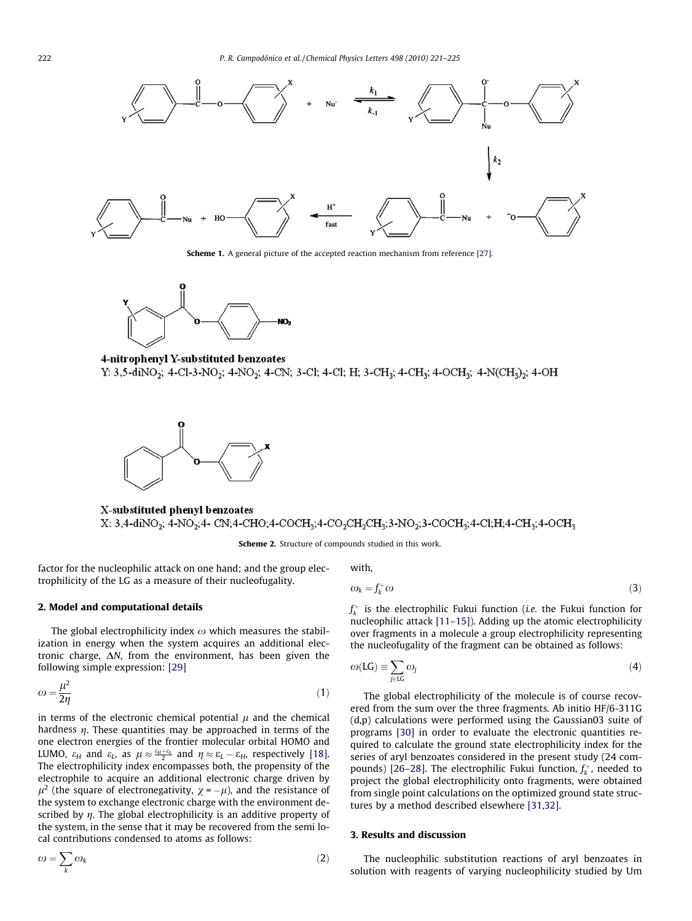<span id="page-1-0"></span>

Scheme 1. A general picture of the accepted reaction mechanism from reference [\[27\].](#page-4-0)



4-nitrophenyl Y-substituted benzoates Y: 3,5-diNO<sub>2</sub>; 4-Cl-3-NO<sub>2</sub>; 4-NO<sub>2</sub>; 4-CN; 3-Cl; 4-Cl; H; 3-CH<sub>3</sub>; 4-CH<sub>3</sub>; 4-OCH<sub>3</sub>; 4-N(CH<sub>3</sub>)<sub>2</sub>; 4-OH



X-substituted phenyl benzoates X: 3,4-diNO<sub>2</sub>; 4-NO<sub>2</sub>;4- CN;4-CHO;4-COCH<sub>3</sub>;4-CO<sub>2</sub>CH<sub>2</sub>CH<sub>3</sub>;3-NO<sub>2</sub>;3-COCH<sub>3</sub>;4-Cl;H;4-CH<sub>3</sub>;4-OCH<sub>3</sub>

Scheme 2. Structure of compounds studied in this work.

factor for the nucleophilic attack on one hand; and the group electrophilicity of the LG as a measure of their nucleofugality.

#### 2. Model and computational details

The global electrophilicity index  $\omega$  which measures the stabilization in energy when the system acquires an additional electronic charge,  $\Delta N$ , from the environment, has been given the following simple expression: [\[29\]](#page-4-0)

$$
\omega = \frac{\mu^2}{2\eta} \tag{1}
$$

in terms of the electronic chemical potential  $\mu$  and the chemical hardness  $\eta$ . These quantities may be approached in terms of the one electron energies of the frontier molecular orbital HOMO and LUMO,  $\varepsilon_H$  and  $\varepsilon_L$ , as  $\mu \approx \frac{\varepsilon_H + \varepsilon_L}{2}$  and  $\eta \approx \varepsilon_L - \varepsilon_H$ , respectively [\[18\].](#page-4-0) The electrophilicity index encompasses both, the propensity of the electrophile to acquire an additional electronic charge driven by  $\mu^2$  (the square of electronegativity,  $\chi = -\mu$ ), and the resistance of the system to exchange electronic charge with the environment described by  $\eta$ . The global electrophilicity is an additive property of the system, in the sense that it may be recovered from the semi local contributions condensed to atoms as follows:

$$
\omega = \sum_{k} \omega_{k} \tag{2}
$$

with,

$$
\omega_k = f_k^+ \omega \tag{3}
$$

 $f_k^+$  is the electrophilic Fukui function (*i.e.* the Fukui function for nucleophilic attack [\[11–15\]\)](#page-4-0). Adding up the atomic electrophilicity over fragments in a molecule a group electrophilicity representing the nucleofugality of the fragment can be obtained as follows:

$$
\omega(\text{LG}) \equiv \sum_{j \in \text{LG}} \omega_j \tag{4}
$$

The global electrophilicity of the molecule is of course recovered from the sum over the three fragments. Ab initio HF/6-311G (d,p) calculations were performed using the Gaussian03 suite of programs [\[30\]](#page-4-0) in order to evaluate the electronic quantities required to calculate the ground state electrophilicity index for the series of aryl benzoates considered in the present study (24 com-pounds) [\[26–28\].](#page-4-0) The electrophilic Fukui function,  $f_k^+$ , needed to project the global electrophilicity onto fragments, were obtained from single point calculations on the optimized ground state structures by a method described elsewhere [\[31,32\]](#page-4-0).

### 3. Results and discussion

The nucleophilic substitution reactions of aryl benzoates in solution with reagents of varying nucleophilicity studied by Um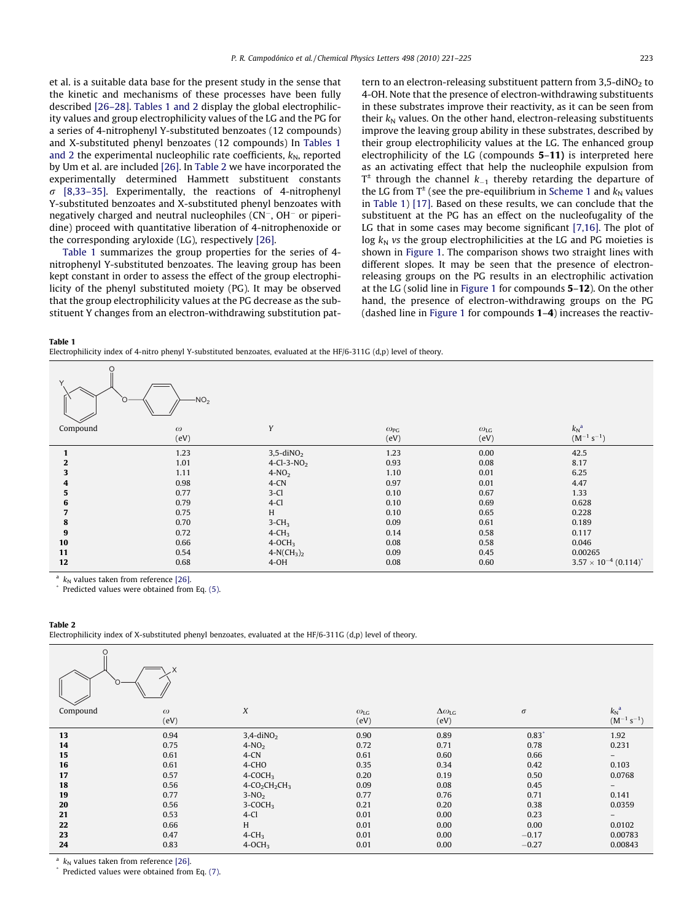<span id="page-2-0"></span>et al. is a suitable data base for the present study in the sense that the kinetic and mechanisms of these processes have been fully described [\[26–28\]](#page-4-0). Tables 1 and 2 display the global electrophilicity values and group electrophilicity values of the LG and the PG for a series of 4-nitrophenyl Y-substituted benzoates (12 compounds) and X-substituted phenyl benzoates (12 compounds) In Tables 1 and 2 the experimental nucleophilic rate coefficients,  $k_N$ , reported by Um et al. are included [\[26\]](#page-4-0). In Table 2 we have incorporated the experimentally determined Hammett substituent constants  $\sigma$  [\[8,33–35\]](#page-4-0). Experimentally, the reactions of 4-nitrophenyl Y-substituted benzoates and X-substituted phenyl benzoates with negatively charged and neutral nucleophiles (CN<sup>-</sup>, OH<sup>-</sup> or piperidine) proceed with quantitative liberation of 4-nitrophenoxide or the corresponding aryloxide (LG), respectively [\[26\]](#page-4-0).

Table 1 summarizes the group properties for the series of 4 nitrophenyl Y-substituted benzoates. The leaving group has been kept constant in order to assess the effect of the group electrophilicity of the phenyl substituted moiety (PG). It may be observed that the group electrophilicity values at the PG decrease as the substituent Y changes from an electron-withdrawing substitution pattern to an electron-releasing substituent pattern from 3.5-diNO<sub>2</sub> to 4-OH. Note that the presence of electron-withdrawing substituents in these substrates improve their reactivity, as it can be seen from their  $k_N$  values. On the other hand, electron-releasing substituents improve the leaving group ability in these substrates, described by their group electrophilicity values at the LG. The enhanced group electrophilicity of the LG (compounds 5–11) is interpreted here as an activating effect that help the nucleophile expulsion from  $T^{\pm}$  through the channel  $k_{-1}$  thereby retarding the departure of the LG from  $T^{\pm}$  (see the pre-equilibrium in [Scheme 1](#page-1-0) and  $k_N$  values in Table 1) [\[17\].](#page-4-0) Based on these results, we can conclude that the substituent at the PG has an effect on the nucleofugality of the LG that in some cases may become significant [\[7,16\]](#page-4-0). The plot of log  $k_N$  vs the group electrophilicities at the LG and PG moieties is shown in [Figure 1.](#page-3-0) The comparison shows two straight lines with different slopes. It may be seen that the presence of electronreleasing groups on the PG results in an electrophilic activation at the LG (solid line in [Figure 1](#page-3-0) for compounds 5–12). On the other hand, the presence of electron-withdrawing groups on the PG (dashed line in [Figure 1](#page-3-0) for compounds 1–4) increases the reactiv-

#### Table 1

Electrophilicity index of 4-nitro phenyl Y-substituted benzoates, evaluated at the HF/6-311G (d,p) level of theory.

| O<br>$-NO2$<br>C. |          |                          |                      |                   |                                 |  |  |  |  |  |
|-------------------|----------|--------------------------|----------------------|-------------------|---------------------------------|--|--|--|--|--|
| Compound          | $\omega$ | Y                        | $\omega_{\text{PG}}$ | $\omega_{\rm LG}$ | $k_N^a$                         |  |  |  |  |  |
|                   | (eV)     |                          | (eV)                 | (eV)              | $(M^{-1} s^{-1})$               |  |  |  |  |  |
| $\mathbf{1}$      | 1.23     | $3,5$ -diNO <sub>2</sub> | 1.23                 | 0.00              | 42.5                            |  |  |  |  |  |
| $\mathbf{2}$      | 1.01     | 4-Cl-3-NO <sub>2</sub>   | 0.93                 | 0.08              | 8.17                            |  |  |  |  |  |
| 3                 | 1.11     | $4-NO2$                  | 1.10                 | 0.01              | 6.25                            |  |  |  |  |  |
| 4                 | 0.98     | $4$ -CN                  | 0.97                 | 0.01              | 4.47                            |  |  |  |  |  |
| 5                 | 0.77     | $3-Cl$                   | 0.10                 | 0.67              | 1.33                            |  |  |  |  |  |
| 6                 | 0.79     | $4-Cl$                   | 0.10                 | 0.69              | 0.628                           |  |  |  |  |  |
|                   | 0.75     | H                        | 0.10                 | 0.65              | 0.228                           |  |  |  |  |  |
| 8                 | 0.70     | $3-CH3$                  | 0.09                 | 0.61              | 0.189                           |  |  |  |  |  |
| 9                 | 0.72     | $4$ -CH <sub>3</sub>     | 0.14                 | 0.58              | 0.117                           |  |  |  |  |  |
| 10                | 0.66     | $4-OCH3$                 | 0.08                 | 0.58              | 0.046                           |  |  |  |  |  |
| 11                | 0.54     | $4-N(CH_3)_2$            | 0.09                 | 0.45              | 0.00265                         |  |  |  |  |  |
| 12                | 0.68     | $4-OH$                   | 0.08                 | 0.60              | $3.57 \times 10^{-4} (0.114)^*$ |  |  |  |  |  |

<sup>a</sup>  $k_N$  values taken from reference [\[26\]](#page-4-0).<br>\* Predicted values were obtained from Eq. [\(5\).](#page-3-0)

#### Table 2

Electrophilicity index of X-substituted phenyl benzoates, evaluated at the HF/6-311G (d,p) level of theory.

| O        |          |                          |                   |                         |          |                   |  |  |  |  |
|----------|----------|--------------------------|-------------------|-------------------------|----------|-------------------|--|--|--|--|
| Compound | $\omega$ | X                        | $\omega_{\rm LG}$ | $\Delta\omega_{\rm LG}$ | $\sigma$ | $k_N^a$           |  |  |  |  |
|          | (eV)     |                          | (eV)              | (eV)                    |          | $(M^{-1} s^{-1})$ |  |  |  |  |
| 13       | 0.94     | $3,4$ -diNO <sub>2</sub> | 0.90              | 0.89                    | $0.83*$  | 1.92              |  |  |  |  |
| 14       | 0.75     | $4-NO2$                  | 0.72              | 0.71                    | 0.78     | 0.231             |  |  |  |  |
| 15       | 0.61     | $4$ -CN                  | 0.61              | 0.60                    | 0.66     |                   |  |  |  |  |
| 16       | 0.61     | 4-CHO                    | 0.35              | 0.34                    | 0.42     | 0.103             |  |  |  |  |
| 17       | 0.57     | $4-COCH3$                | 0.20              | 0.19                    | 0.50     | 0.0768            |  |  |  |  |
| 18       | 0.56     | $4-CO2CH2CH3$            | 0.09              | 0.08                    | 0.45     |                   |  |  |  |  |
| 19       | 0.77     | $3-NO2$                  | 0.77              | 0.76                    | 0.71     | 0.141             |  |  |  |  |
| 20       | 0.56     | $3-COCH3$                | 0.21              | 0.20                    | 0.38     | 0.0359            |  |  |  |  |
| 21       | 0.53     | $4-Cl$                   | 0.01              | 0.00                    | 0.23     | -                 |  |  |  |  |
| 22       | 0.66     | H                        | 0.01              | 0.00                    | 0.00     | 0.0102            |  |  |  |  |
| 23       | 0.47     | $4$ -CH <sub>3</sub>     | 0.01              | 0.00                    | $-0.17$  | 0.00783           |  |  |  |  |
| 24       | 0.83     | $4-OCH3$                 | 0.01              | 0.00                    | $-0.27$  | 0.00843           |  |  |  |  |

 $k_N$  values taken from reference [\[26\]](#page-4-0).<br>Predicted values were obtained from Eq. [\(7\).](#page-3-0)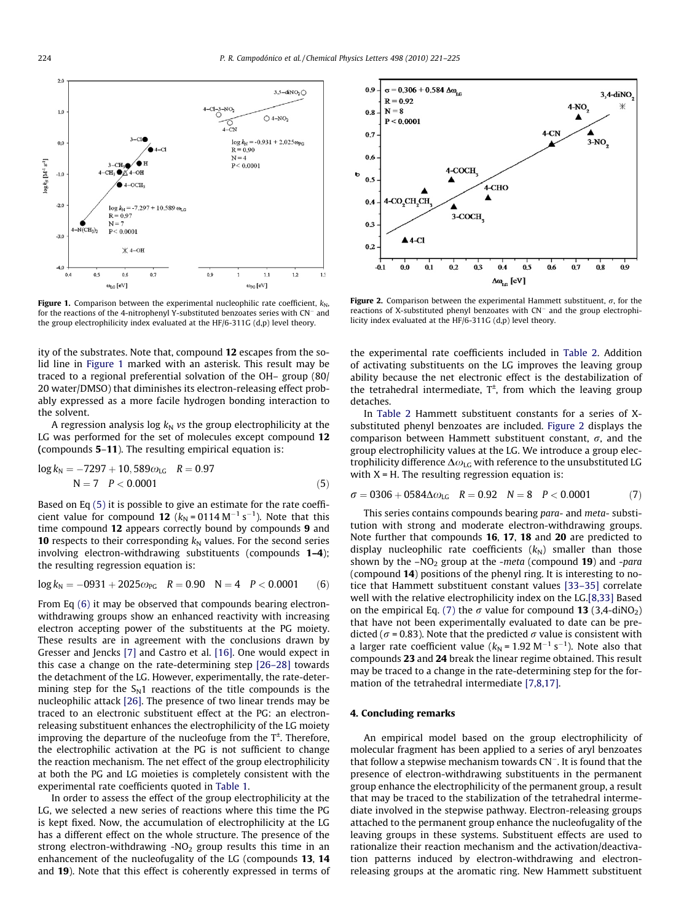<span id="page-3-0"></span>

Figure 1. Comparison between the experimental nucleophilic rate coefficient,  $k_N$ , for the reactions of the 4-nitrophenyl Y-substituted benzoates series with CN<sup>-</sup> and the group electrophilicity index evaluated at the HF/6-311G (d,p) level theory.

ity of the substrates. Note that, compound 12 escapes from the solid line in Figure 1 marked with an asterisk. This result may be traced to a regional preferential solvation of the OH– group (80/ 20 water/DMSO) that diminishes its electron-releasing effect probably expressed as a more facile hydrogen bonding interaction to the solvent.

A regression analysis log  $k_N$  vs the group electrophilicity at the LG was performed for the set of molecules except compound 12 (compounds 5–11). The resulting empirical equation is:

$$
log k_N = -7297 + 10,589\omega_{LG} \quad R = 0.97
$$
  
N = 7 \quad P < 0.0001 \tag{5}

Based on Eq (5) it is possible to give an estimate for the rate coefficient value for compound 12 ( $k_{\rm N}$ =0114 M<sup>-1</sup> s<sup>-1</sup>). Note that this time compound 12 appears correctly bound by compounds 9 and **10** respects to their corresponding  $k_N$  values. For the second series involving electron-withdrawing substituents (compounds 1–4); the resulting regression equation is:

$$
log k_N = -0931 + 2025 \omega_{PG} \quad R = 0.90 \quad N = 4 \quad P < 0.0001 \tag{6}
$$

From Eq (6) it may be observed that compounds bearing electronwithdrawing groups show an enhanced reactivity with increasing electron accepting power of the substituents at the PG moiety. These results are in agreement with the conclusions drawn by Gresser and Jencks [\[7\]](#page-4-0) and Castro et al. [\[16\]](#page-4-0). One would expect in this case a change on the rate-determining step [\[26–28\]](#page-4-0) towards the detachment of the LG. However, experimentally, the rate-determining step for the  $S_N1$  reactions of the title compounds is the nucleophilic attack [\[26\].](#page-4-0) The presence of two linear trends may be traced to an electronic substituent effect at the PG: an electronreleasing substituent enhances the electrophilicity of the LG moiety improving the departure of the nucleofuge from the  $T^{\pm}$ . Therefore, the electrophilic activation at the PG is not sufficient to change the reaction mechanism. The net effect of the group electrophilicity at both the PG and LG moieties is completely consistent with the experimental rate coefficients quoted in [Table 1](#page-2-0).

In order to assess the effect of the group electrophilicity at the LG, we selected a new series of reactions where this time the PG is kept fixed. Now, the accumulation of electrophilicity at the LG has a different effect on the whole structure. The presence of the strong electron-withdrawing -NO<sub>2</sub> group results this time in an enhancement of the nucleofugality of the LG (compounds 13, 14 and 19). Note that this effect is coherently expressed in terms of



Figure 2. Comparison between the experimental Hammett substituent,  $\sigma$ , for the reactions of X-substituted phenyl benzoates with  $CN^-$  and the group electrophilicity index evaluated at the HF/6-311G (d,p) level theory.

the experimental rate coefficients included in [Table 2](#page-2-0). Addition of activating substituents on the LG improves the leaving group ability because the net electronic effect is the destabilization of the tetrahedral intermediate,  $T^{\pm}$ , from which the leaving group detaches.

In [Table 2](#page-2-0) Hammett substituent constants for a series of Xsubstituted phenyl benzoates are included. Figure 2 displays the comparison between Hammett substituent constant,  $\sigma$ , and the group electrophilicity values at the LG. We introduce a group electrophilicity difference  $\Delta\omega_{\text{LG}}$  with reference to the unsubstituted LG with  $X = H$ . The resulting regression equation is:

$$
\sigma = 0306 + 0584 \Delta \omega_{LG} \quad R = 0.92 \quad N = 8 \quad P < 0.0001 \tag{7}
$$

This series contains compounds bearing para- and meta- substitution with strong and moderate electron-withdrawing groups. Note further that compounds 16, 17, 18 and 20 are predicted to display nucleophilic rate coefficients  $(k_N)$  smaller than those shown by the  $-NO<sub>2</sub>$  group at the -meta (compound 19) and -para (compound 14) positions of the phenyl ring. It is interesting to notice that Hammett substituent constant values [\[33–35\]](#page-4-0) correlate well with the relative electrophilicity index on the LG[.\[8,33\]](#page-4-0) Based on the empirical Eq. (7) the  $\sigma$  value for compound 13 (3,4-diNO<sub>2</sub>) that have not been experimentally evaluated to date can be predicted ( $\sigma$  = 0.83). Note that the predicted  $\sigma$  value is consistent with a larger rate coefficient value ( $k_N$  = 1.92 M<sup>-1</sup> s<sup>-1</sup>). Note also that compounds 23 and 24 break the linear regime obtained. This result may be traced to a change in the rate-determining step for the formation of the tetrahedral intermediate [\[7,8,17\].](#page-4-0)

#### 4. Concluding remarks

An empirical model based on the group electrophilicity of molecular fragment has been applied to a series of aryl benzoates that follow a stepwise mechanism towards CN<sup>-</sup>. It is found that the presence of electron-withdrawing substituents in the permanent group enhance the electrophilicity of the permanent group, a result that may be traced to the stabilization of the tetrahedral intermediate involved in the stepwise pathway. Electron-releasing groups attached to the permanent group enhance the nucleofugality of the leaving groups in these systems. Substituent effects are used to rationalize their reaction mechanism and the activation/deactivation patterns induced by electron-withdrawing and electronreleasing groups at the aromatic ring. New Hammett substituent